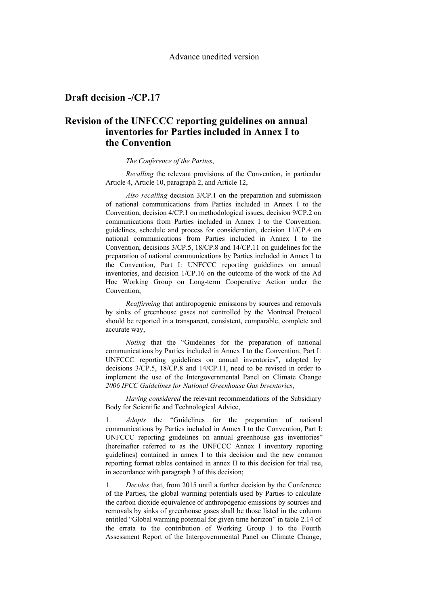## **Draft decision -/CP.17**

## **Revision of the UNFCCC reporting guidelines on annual inventories for Parties included in Annex I to the Convention**

#### *The Conference of the Parties*,

*Recalling* the relevant provisions of the Convention, in particular Article 4, Article 10, paragraph 2, and Article 12,

*Also recalling* decision 3/CP.1 on the preparation and submission of national communications from Parties included in Annex I to the Convention, decision 4/CP.1 on methodological issues, decision 9/CP.2 on communications from Parties included in Annex I to the Convention: guidelines, schedule and process for consideration, decision 11/CP.4 on national communications from Parties included in Annex I to the Convention, decisions 3/CP.5, 18/CP.8 and 14/CP.11 on guidelines for the preparation of national communications by Parties included in Annex I to the Convention, Part I: UNFCCC reporting guidelines on annual inventories, and decision 1/CP.16 on the outcome of the work of the Ad Hoc Working Group on Long-term Cooperative Action under the Convention,

*Reaffirming* that anthropogenic emissions by sources and removals by sinks of greenhouse gases not controlled by the Montreal Protocol should be reported in a transparent, consistent, comparable, complete and accurate way,

*Noting* that the "Guidelines for the preparation of national communications by Parties included in Annex I to the Convention, Part I: UNFCCC reporting guidelines on annual inventories", adopted by decisions 3/CP.5, 18/CP.8 and 14/CP.11, need to be revised in order to implement the use of the Intergovernmental Panel on Climate Change *2006 IPCC Guidelines for National Greenhouse Gas Inventories*,

*Having considered* the relevant recommendations of the Subsidiary Body for Scientific and Technological Advice,

1. *Adopts* the "Guidelines for the preparation of national communications by Parties included in Annex I to the Convention, Part I: UNFCCC reporting guidelines on annual greenhouse gas inventories" (hereinafter referred to as the UNFCCC Annex I inventory reporting guidelines) contained in annex I to this decision and the new common reporting format tables contained in annex II to this decision for trial use, in accordance with paragraph 3 of this decision;

1. *Decides* that, from 2015 until a further decision by the Conference of the Parties, the global warming potentials used by Parties to calculate the carbon dioxide equivalence of anthropogenic emissions by sources and removals by sinks of greenhouse gases shall be those listed in the column entitled "Global warming potential for given time horizon" in table 2.14 of the errata to the contribution of Working Group I to the Fourth Assessment Report of the Intergovernmental Panel on Climate Change,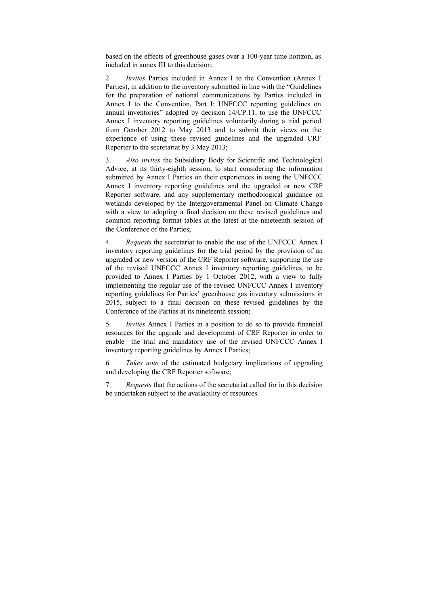based on the effects of greenhouse gases over a 100-year time horizon, as included in annex III to this decision;

2. *Invites* Parties included in Annex I to the Convention (Annex I Parties), in addition to the inventory submitted in line with the "Guidelines for the preparation of national communications by Parties included in Annex I to the Convention, Part I: UNFCCC reporting guidelines on annual inventories" adopted by decision 14/CP.11, to use the UNFCCC Annex I inventory reporting guidelines voluntarily during a trial period from October 2012 to May 2013 and to submit their views on the experience of using these revised guidelines and the upgraded CRF Reporter to the secretariat by 3 May 2013;

3. *Also invites* the Subsidiary Body for Scientific and Technological Advice, at its thirty-eighth session, to start considering the information submitted by Annex I Parties on their experiences in using the UNFCCC Annex I inventory reporting guidelines and the upgraded or new CRF Reporter software, and any supplementary methodological guidance on wetlands developed by the Intergovernmental Panel on Climate Change with a view to adopting a final decision on these revised guidelines and common reporting format tables at the latest at the nineteenth session of the Conference of the Parties;

4. *Requests* the secretariat to enable the use of the UNFCCC Annex I inventory reporting guidelines for the trial period by the provision of an upgraded or new version of the CRF Reporter software, supporting the use of the revised UNFCCC Annex I inventory reporting guidelines, to be provided to Annex I Parties by 1 October 2012, with a view to fully implementing the regular use of the revised UNFCCC Annex I inventory reporting guidelines for Parties' greenhouse gas inventory submissions in 2015, subject to a final decision on these revised guidelines by the Conference of the Parties at its nineteenth session;

5. *Invites* Annex I Parties in a position to do so to provide financial resources for the upgrade and development of CRF Reporter in order to enable the trial and mandatory use of the revised UNFCCC Annex I inventory reporting guidelines by Annex I Parties;

6. *Takes note* of the estimated budgetary implications of upgrading and developing the CRF Reporter software;

7. *Requests* that the actions of the secretariat called for in this decision be undertaken subject to the availability of resources.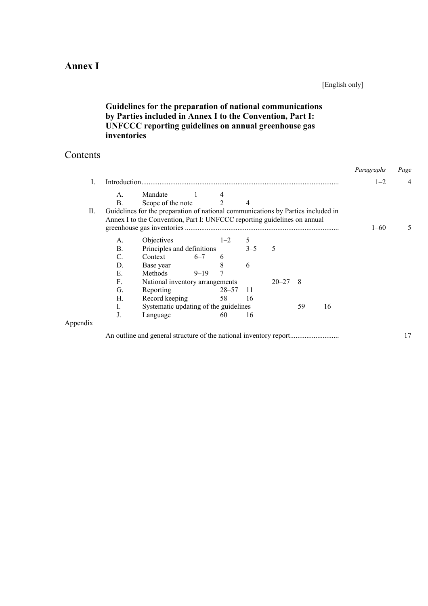## **Annex I**

## [English only]

## **Guidelines for the preparation of national communications by Parties included in Annex I to the Convention, Part I: UNFCCC reporting guidelines on annual greenhouse gas inventories**

## **Contents**

|          |                |                                                                                  |          |                |    |   |    |    | Paragraphs | Page |
|----------|----------------|----------------------------------------------------------------------------------|----------|----------------|----|---|----|----|------------|------|
| L        | Introduction   |                                                                                  |          |                |    |   |    |    | $1 - 2$    |      |
|          | A.             | Mandate                                                                          |          |                |    |   |    |    |            |      |
|          | $\mathbf{B}$ . | Scope of the note                                                                |          | $\overline{2}$ | 4  |   |    |    |            |      |
| П.       |                | Guidelines for the preparation of national communications by Parties included in |          |                |    |   |    |    |            |      |
|          |                | Annex I to the Convention, Part I: UNFCCC reporting guidelines on annual         |          |                |    |   |    |    |            |      |
|          |                |                                                                                  |          |                |    |   |    |    | $1 - 60$   |      |
|          | А.             | Objectives                                                                       |          | $1 - 2$        | 5  |   |    |    |            |      |
|          | $\mathbf{B}$ . | Principles and definitions                                                       |          | $3 - 5$        |    | 5 |    |    |            |      |
|          | C.             | Context                                                                          | $6 - 7$  | 6              |    |   |    |    |            |      |
|          | D.             | Base year                                                                        |          | 8              | 6  |   |    |    |            |      |
|          | E.             | <b>Methods</b>                                                                   | $9 - 19$ |                |    |   |    |    |            |      |
|          | F.             | National inventory arrangements<br>8<br>$20 - 27$                                |          |                |    |   |    |    |            |      |
|          | G.             | Reporting                                                                        |          | $28 - 57$      | 11 |   |    |    |            |      |
|          | Н.             | Record keeping                                                                   |          | 58             | 16 |   |    |    |            |      |
|          | I.             | Systematic updating of the guidelines                                            |          |                |    |   | 59 | 16 |            |      |
|          | J.             | Language                                                                         |          | 60             | 16 |   |    |    |            |      |
| Appendix |                |                                                                                  |          |                |    |   |    |    |            |      |

An outline and general structure of the national inventory report........................... 17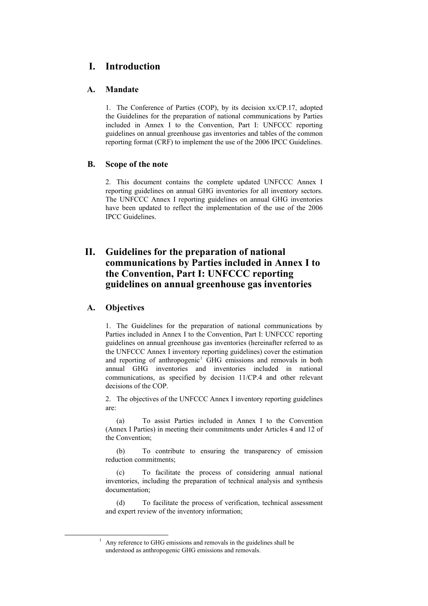## **I. Introduction**

## **A. Mandate**

1. The Conference of Parties (COP), by its decision xx/CP.17, adopted the Guidelines for the preparation of national communications by Parties included in Annex I to the Convention, Part I: UNFCCC reporting guidelines on annual greenhouse gas inventories and tables of the common reporting format (CRF) to implement the use of the 2006 IPCC Guidelines.

## **B. Scope of the note**

2. This document contains the complete updated UNFCCC Annex I reporting guidelines on annual GHG inventories for all inventory sectors. The UNFCCC Annex I reporting guidelines on annual GHG inventories have been updated to reflect the implementation of the use of the 2006 IPCC Guidelines.

## **II. Guidelines for the preparation of national communications by Parties included in Annex I to the Convention, Part I: UNFCCC reporting guidelines on annual greenhouse gas inventories**

## **A. Objectives**

<span id="page-3-0"></span><u>1</u>

1. The Guidelines for the preparation of national communications by Parties included in Annex I to the Convention, Part I: UNFCCC reporting guidelines on annual greenhouse gas inventories (hereinafter referred to as the UNFCCC Annex I inventory reporting guidelines) cover the estimation and reporting of anthropogenic<sup>[1](#page-3-0)</sup> GHG emissions and removals in both annual GHG inventories and inventories included in national communications, as specified by decision 11/CP.4 and other relevant decisions of the COP.

2. The objectives of the UNFCCC Annex I inventory reporting guidelines are:

 (a) To assist Parties included in Annex I to the Convention (Annex I Parties) in meeting their commitments under Articles 4 and 12 of the Convention;

 (b) To contribute to ensuring the transparency of emission reduction commitments;

 (c) To facilitate the process of considering annual national inventories, including the preparation of technical analysis and synthesis documentation;

 (d) To facilitate the process of verification, technical assessment and expert review of the inventory information;

Any reference to GHG emissions and removals in the guidelines shall be understood as anthropogenic GHG emissions and removals.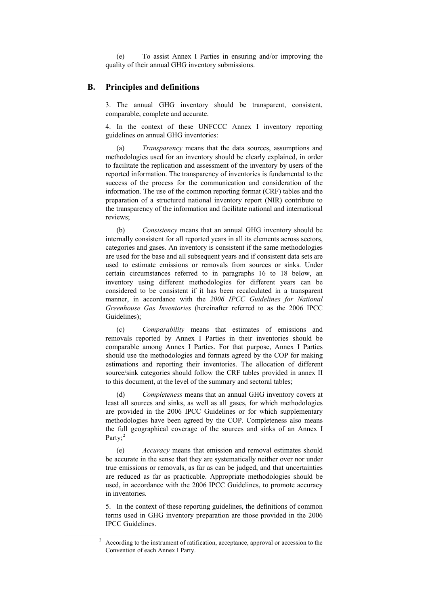(e) To assist Annex I Parties in ensuring and/or improving the quality of their annual GHG inventory submissions.

### **B. Principles and definitions**

3. The annual GHG inventory should be transparent, consistent, comparable, complete and accurate.

4. In the context of these UNFCCC Annex I inventory reporting guidelines on annual GHG inventories:

 (a) *Transparency* means that the data sources, assumptions and methodologies used for an inventory should be clearly explained, in order to facilitate the replication and assessment of the inventory by users of the reported information. The transparency of inventories is fundamental to the success of the process for the communication and consideration of the information. The use of the common reporting format (CRF) tables and the preparation of a structured national inventory report (NIR) contribute to the transparency of the information and facilitate national and international reviews;

 (b) *Consistency* means that an annual GHG inventory should be internally consistent for all reported years in all its elements across sectors, categories and gases. An inventory is consistent if the same methodologies are used for the base and all subsequent years and if consistent data sets are used to estimate emissions or removals from sources or sinks. Under certain circumstances referred to in paragraphs 16 to 18 below, an inventory using different methodologies for different years can be considered to be consistent if it has been recalculated in a transparent manner, in accordance with the *2006 IPCC Guidelines for National Greenhouse Gas Inventories* (hereinafter referred to as the 2006 IPCC Guidelines);

 (c) *Comparability* means that estimates of emissions and removals reported by Annex I Parties in their inventories should be comparable among Annex I Parties. For that purpose, Annex I Parties should use the methodologies and formats agreed by the COP for making estimations and reporting their inventories. The allocation of different source/sink categories should follow the CRF tables provided in annex II to this document, at the level of the summary and sectoral tables;

 (d) *Completeness* means that an annual GHG inventory covers at least all sources and sinks, as well as all gases, for which methodologies are provided in the 2006 IPCC Guidelines or for which supplementary methodologies have been agreed by the COP. Completeness also means the full geographical coverage of the sources and sinks of an Annex I Party;<sup>[2](#page-4-0)</sup>

 (e) *Accuracy* means that emission and removal estimates should be accurate in the sense that they are systematically neither over nor under true emissions or removals, as far as can be judged, and that uncertainties are reduced as far as practicable. Appropriate methodologies should be used, in accordance with the 2006 IPCC Guidelines, to promote accuracy in inventories.

5. In the context of these reporting guidelines, the definitions of common terms used in GHG inventory preparation are those provided in the 2006 IPCC Guidelines.

<span id="page-4-0"></span> <sup>2</sup> According to the instrument of ratification, acceptance, approval or accession to the Convention of each Annex I Party.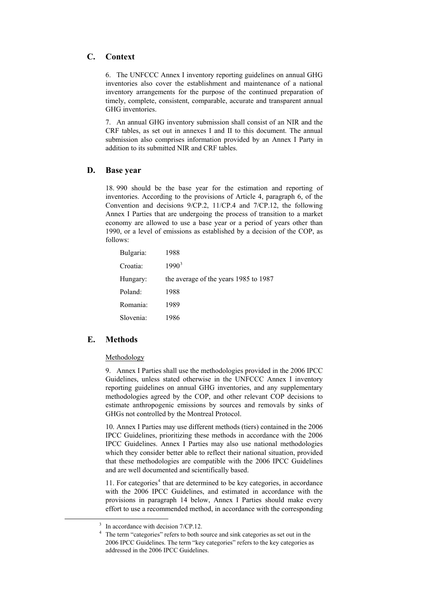## **C. Context**

6. The UNFCCC Annex I inventory reporting guidelines on annual GHG inventories also cover the establishment and maintenance of a national inventory arrangements for the purpose of the continued preparation of timely, complete, consistent, comparable, accurate and transparent annual GHG inventories.

7. An annual GHG inventory submission shall consist of an NIR and the CRF tables, as set out in annexes I and II to this document. The annual submission also comprises information provided by an Annex I Party in addition to its submitted NIR and CRF tables.

### **D. Base year**

18. 990 should be the base year for the estimation and reporting of inventories. According to the provisions of Article 4, paragraph 6, of the Convention and decisions 9/CP.2, 11/CP.4 and 7/CP.12, the following Annex I Parties that are undergoing the process of transition to a market economy are allowed to use a base year or a period of years other than 1990, or a level of emissions as established by a decision of the COP, as follows:

| Bulgaria: | 1988                                  |
|-----------|---------------------------------------|
| Croatia:  | $1990^3$                              |
| Hungary:  | the average of the years 1985 to 1987 |
| Poland:   | 1988                                  |
| Romania:  | 1989                                  |
| Slovenia: | 1986                                  |

### **E. Methods**

#### Methodology

9. Annex I Parties shall use the methodologies provided in the 2006 IPCC Guidelines, unless stated otherwise in the UNFCCC Annex I inventory reporting guidelines on annual GHG inventories, and any supplementary methodologies agreed by the COP, and other relevant COP decisions to estimate anthropogenic emissions by sources and removals by sinks of GHGs not controlled by the Montreal Protocol.

10. Annex I Parties may use different methods (tiers) contained in the 2006 IPCC Guidelines, prioritizing these methods in accordance with the 2006 IPCC Guidelines. Annex I Parties may also use national methodologies which they consider better able to reflect their national situation, provided that these methodologies are compatible with the 2006 IPCC Guidelines and are well documented and scientifically based.

11. For categories<sup>[4](#page-5-1)</sup> that are determined to be key categories, in accordance with the 2006 IPCC Guidelines, and estimated in accordance with the provisions in paragraph 14 below, Annex I Parties should make every effort to use a recommended method, in accordance with the corresponding

<span id="page-5-1"></span><span id="page-5-0"></span> <sup>3</sup>  $3$  In accordance with decision 7/CP.12.

<sup>4</sup> The term "categories" refers to both source and sink categories as set out in the 2006 IPCC Guidelines. The term "key categories" refers to the key categories as addressed in the 2006 IPCC Guidelines.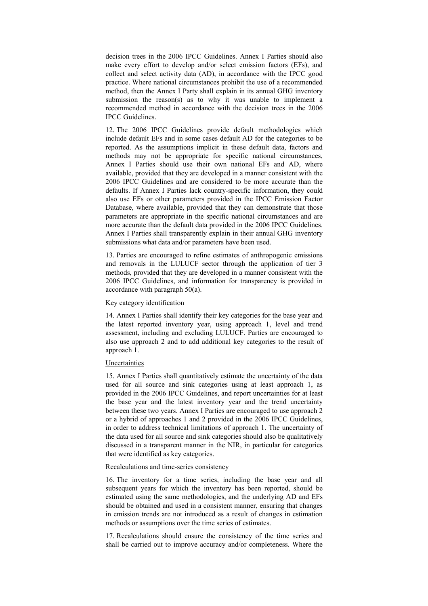decision trees in the 2006 IPCC Guidelines. Annex I Parties should also make every effort to develop and/or select emission factors (EFs), and collect and select activity data (AD), in accordance with the IPCC good practice. Where national circumstances prohibit the use of a recommended method, then the Annex I Party shall explain in its annual GHG inventory submission the reason(s) as to why it was unable to implement a recommended method in accordance with the decision trees in the 2006 IPCC Guidelines.

12. The 2006 IPCC Guidelines provide default methodologies which include default EFs and in some cases default AD for the categories to be reported. As the assumptions implicit in these default data, factors and methods may not be appropriate for specific national circumstances, Annex I Parties should use their own national EFs and AD, where available, provided that they are developed in a manner consistent with the 2006 IPCC Guidelines and are considered to be more accurate than the defaults. If Annex I Parties lack country-specific information, they could also use EFs or other parameters provided in the IPCC Emission Factor Database, where available, provided that they can demonstrate that those parameters are appropriate in the specific national circumstances and are more accurate than the default data provided in the 2006 IPCC Guidelines. Annex I Parties shall transparently explain in their annual GHG inventory submissions what data and/or parameters have been used.

13. Parties are encouraged to refine estimates of anthropogenic emissions and removals in the LULUCF sector through the application of tier 3 methods, provided that they are developed in a manner consistent with the 2006 IPCC Guidelines, and information for transparency is provided in accordance with paragraph 50(a).

#### Key category identification

14. Annex I Parties shall identify their key categories for the base year and the latest reported inventory year, using approach 1, level and trend assessment, including and excluding LULUCF. Parties are encouraged to also use approach 2 and to add additional key categories to the result of approach 1.

#### Uncertainties

15. Annex I Parties shall quantitatively estimate the uncertainty of the data used for all source and sink categories using at least approach 1, as provided in the 2006 IPCC Guidelines, and report uncertainties for at least the base year and the latest inventory year and the trend uncertainty between these two years. Annex I Parties are encouraged to use approach 2 or a hybrid of approaches 1 and 2 provided in the 2006 IPCC Guidelines, in order to address technical limitations of approach 1. The uncertainty of the data used for all source and sink categories should also be qualitatively discussed in a transparent manner in the NIR, in particular for categories that were identified as key categories.

#### Recalculations and time-series consistency

16. The inventory for a time series, including the base year and all subsequent years for which the inventory has been reported, should be estimated using the same methodologies, and the underlying AD and EFs should be obtained and used in a consistent manner, ensuring that changes in emission trends are not introduced as a result of changes in estimation methods or assumptions over the time series of estimates.

17. Recalculations should ensure the consistency of the time series and shall be carried out to improve accuracy and/or completeness. Where the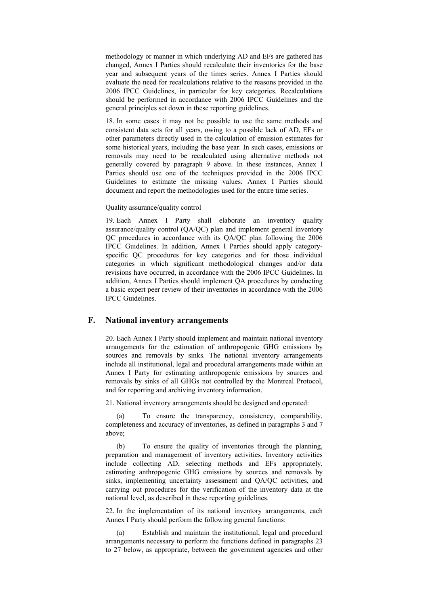methodology or manner in which underlying AD and EFs are gathered has changed, Annex I Parties should recalculate their inventories for the base year and subsequent years of the times series. Annex I Parties should evaluate the need for recalculations relative to the reasons provided in the 2006 IPCC Guidelines, in particular for key categories. Recalculations should be performed in accordance with 2006 IPCC Guidelines and the general principles set down in these reporting guidelines.

18. In some cases it may not be possible to use the same methods and consistent data sets for all years, owing to a possible lack of AD, EFs or other parameters directly used in the calculation of emission estimates for some historical years, including the base year. In such cases, emissions or removals may need to be recalculated using alternative methods not generally covered by paragraph 9 above. In these instances, Annex I Parties should use one of the techniques provided in the 2006 IPCC Guidelines to estimate the missing values. Annex I Parties should document and report the methodologies used for the entire time series.

#### Quality assurance/quality control

19. Each Annex I Party shall elaborate an inventory quality assurance/quality control (QA/QC) plan and implement general inventory QC procedures in accordance with its QA/QC plan following the 2006 IPCC Guidelines. In addition, Annex I Parties should apply categoryspecific QC procedures for key categories and for those individual categories in which significant methodological changes and/or data revisions have occurred, in accordance with the 2006 IPCC Guidelines. In addition, Annex I Parties should implement QA procedures by conducting a basic expert peer review of their inventories in accordance with the 2006 IPCC Guidelines.

### **F. National inventory arrangements**

20. Each Annex I Party should implement and maintain national inventory arrangements for the estimation of anthropogenic GHG emissions by sources and removals by sinks. The national inventory arrangements include all institutional, legal and procedural arrangements made within an Annex I Party for estimating anthropogenic emissions by sources and removals by sinks of all GHGs not controlled by the Montreal Protocol, and for reporting and archiving inventory information.

21. National inventory arrangements should be designed and operated:

To ensure the transparency, consistency, comparability, completeness and accuracy of inventories, as defined in paragraphs 3 and 7 above;

 (b) To ensure the quality of inventories through the planning, preparation and management of inventory activities. Inventory activities include collecting AD, selecting methods and EFs appropriately, estimating anthropogenic GHG emissions by sources and removals by sinks, implementing uncertainty assessment and QA/QC activities, and carrying out procedures for the verification of the inventory data at the national level, as described in these reporting guidelines.

22. In the implementation of its national inventory arrangements, each Annex I Party should perform the following general functions:

 (a) Establish and maintain the institutional, legal and procedural arrangements necessary to perform the functions defined in paragraphs 23 to 27 below, as appropriate, between the government agencies and other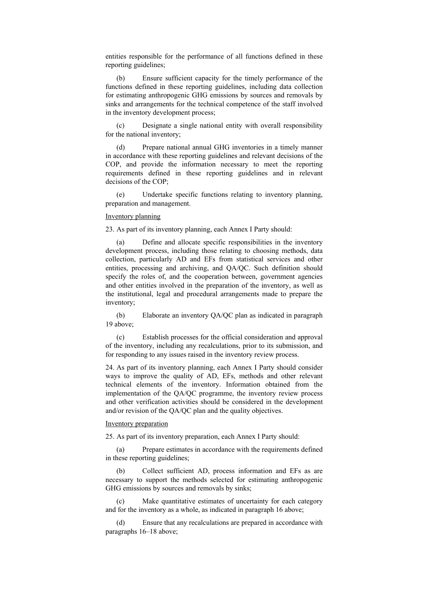entities responsible for the performance of all functions defined in these reporting guidelines;

 (b) Ensure sufficient capacity for the timely performance of the functions defined in these reporting guidelines, including data collection for estimating anthropogenic GHG emissions by sources and removals by sinks and arrangements for the technical competence of the staff involved in the inventory development process;

 (c) Designate a single national entity with overall responsibility for the national inventory;

 (d) Prepare national annual GHG inventories in a timely manner in accordance with these reporting guidelines and relevant decisions of the COP, and provide the information necessary to meet the reporting requirements defined in these reporting guidelines and in relevant decisions of the COP;

 (e) Undertake specific functions relating to inventory planning, preparation and management.

### Inventory planning

23. As part of its inventory planning, each Annex I Party should:

 (a) Define and allocate specific responsibilities in the inventory development process, including those relating to choosing methods, data collection, particularly AD and EFs from statistical services and other entities, processing and archiving, and QA/QC. Such definition should specify the roles of, and the cooperation between, government agencies and other entities involved in the preparation of the inventory, as well as the institutional, legal and procedural arrangements made to prepare the inventory;

 (b) Elaborate an inventory QA/QC plan as indicated in paragraph 19 above;

 (c) Establish processes for the official consideration and approval of the inventory, including any recalculations, prior to its submission, and for responding to any issues raised in the inventory review process.

24. As part of its inventory planning, each Annex I Party should consider ways to improve the quality of AD, EFs, methods and other relevant technical elements of the inventory. Information obtained from the implementation of the QA/QC programme, the inventory review process and other verification activities should be considered in the development and/or revision of the QA/QC plan and the quality objectives.

#### Inventory preparation

25. As part of its inventory preparation, each Annex I Party should:

 (a) Prepare estimates in accordance with the requirements defined in these reporting guidelines;

 (b) Collect sufficient AD, process information and EFs as are necessary to support the methods selected for estimating anthropogenic GHG emissions by sources and removals by sinks;

 (c) Make quantitative estimates of uncertainty for each category and for the inventory as a whole, as indicated in paragraph 16 above;

 (d) Ensure that any recalculations are prepared in accordance with paragraphs 16–18 above;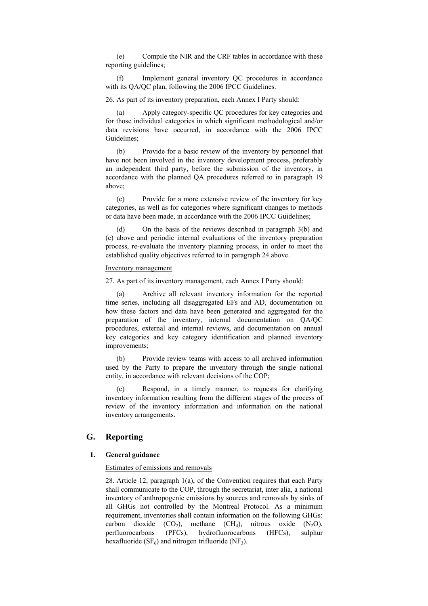(e) Compile the NIR and the CRF tables in accordance with these reporting guidelines;

 (f) Implement general inventory QC procedures in accordance with its OA/OC plan, following the 2006 IPCC Guidelines.

26. As part of its inventory preparation, each Annex I Party should:

Apply category-specific QC procedures for key categories and for those individual categories in which significant methodological and/or data revisions have occurred, in accordance with the 2006 IPCC Guidelines;

 (b) Provide for a basic review of the inventory by personnel that have not been involved in the inventory development process, preferably an independent third party, before the submission of the inventory, in accordance with the planned QA procedures referred to in paragraph 19 above;

 (c) Provide for a more extensive review of the inventory for key categories, as well as for categories where significant changes to methods or data have been made, in accordance with the 2006 IPCC Guidelines;

 (d) On the basis of the reviews described in paragraph 3(b) and (c) above and periodic internal evaluations of the inventory preparation process, re-evaluate the inventory planning process, in order to meet the established quality objectives referred to in paragraph 24 above.

#### Inventory management

27. As part of its inventory management, each Annex I Party should:

 (a) Archive all relevant inventory information for the reported time series, including all disaggregated EFs and AD, documentation on how these factors and data have been generated and aggregated for the preparation of the inventory, internal documentation on QA/QC procedures, external and internal reviews, and documentation on annual key categories and key category identification and planned inventory improvements;

 (b) Provide review teams with access to all archived information used by the Party to prepare the inventory through the single national entity, in accordance with relevant decisions of the COP;

 (c) Respond, in a timely manner, to requests for clarifying inventory information resulting from the different stages of the process of review of the inventory information and information on the national inventory arrangements.

## **G. Reporting**

#### **1. General guidance**

#### Estimates of emissions and removals

28. Article 12, paragraph 1(a), of the Convention requires that each Party shall communicate to the COP, through the secretariat, inter alia, a national inventory of anthropogenic emissions by sources and removals by sinks of all GHGs not controlled by the Montreal Protocol. As a minimum requirement, inventories shall contain information on the following GHGs: carbon dioxide  $(CO_2)$ , methane  $(CH_4)$ , nitrous oxide  $(N_2O)$ , perfluorocarbons (PFCs), hydrofluorocarbons (HFCs), sulphur hexafluoride (SF $_6$ ) and nitrogen trifluoride (NF<sub>3</sub>).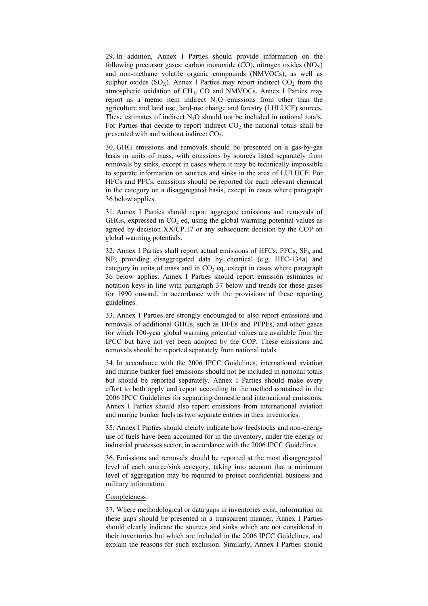29. In addition, Annex I Parties should provide information on the following precursor gases: carbon monoxide  $(CO)$ , nitrogen oxides  $(NO<sub>X</sub>)$ and non-methane volatile organic compounds (NMVOCs), as well as sulphur oxides  $(SO_X)$ . Annex I Parties may report indirect  $CO_2$  from the atmospheric oxidation of CH4, CO and NMVOCs. Annex I Parties may report as a memo item indirect  $N_2O$  emissions from other than the agriculture and land use, land-use change and forestry (LULUCF) sources. These estimates of indirect  $N_2O$  should not be included in national totals. For Parties that decide to report indirect  $CO<sub>2</sub>$  the national totals shall be presented with and without indirect  $CO<sub>2</sub>$ .

30. GHG emissions and removals should be presented on a gas-by-gas basis in units of mass, with emissions by sources listed separately from removals by sinks, except in cases where it may be technically impossible to separate information on sources and sinks in the area of LULUCF. For HFCs and PFCs, emissions should be reported for each relevant chemical in the category on a disaggregated basis, except in cases where paragraph 36 below applies.

31. Annex I Parties should report aggregate emissions and removals of GHGs, expressed in  $CO<sub>2</sub>$  eq, using the global warming potential values as agreed by decision XX/CP.17 or any subsequent decision by the COP on global warming potentials.

32. Annex I Parties shall report actual emissions of HFCs, PFCs,  $SF_6$  and NF3 providing disaggregated data by chemical (e.g. HFC-134a) and category in units of mass and in  $CO<sub>2</sub>$  eq, except in cases where paragraph 36 below applies. Annex I Parties should report emission estimates or notation keys in line with paragraph 37 below and trends for these gases for 1990 onward, in accordance with the provisions of these reporting guidelines.

33. Annex I Parties are strongly encouraged to also report emissions and removals of additional GHGs, such as HFEs and PFPEs, and other gases for which 100-year global warming potential values are available from the IPCC but have not yet been adopted by the COP. These emissions and removals should be reported separately from national totals.

34. In accordance with the 2006 IPCC Guidelines, international aviation and marine bunker fuel emissions should not be included in national totals but should be reported separately. Annex I Parties should make every effort to both apply and report according to the method contained in the 2006 IPCC Guidelines for separating domestic and international emissions. Annex I Parties should also report emissions from international aviation and marine bunker fuels as two separate entries in their inventories.

35. Annex I Parties should clearly indicate how feedstocks and non-energy use of fuels have been accounted for in the inventory, under the energy or industrial processes sector, in accordance with the 2006 IPCC Guidelines.

36. Emissions and removals should be reported at the most disaggregated level of each source/sink category, taking into account that a minimum level of aggregation may be required to protect confidential business and military information.

#### Completeness

37. Where methodological or data gaps in inventories exist, information on these gaps should be presented in a transparent manner. Annex I Parties should clearly indicate the sources and sinks which are not considered in their inventories but which are included in the 2006 IPCC Guidelines, and explain the reasons for such exclusion. Similarly, Annex I Parties should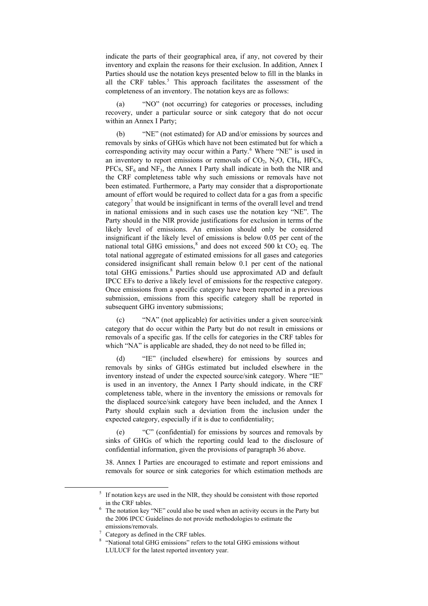indicate the parts of their geographical area, if any, not covered by their inventory and explain the reasons for their exclusion. In addition, Annex I Parties should use the notation keys presented below to fill in the blanks in all the CRF tables.<sup>[5](#page-11-0)</sup> This approach facilitates the assessment of the completeness of an inventory. The notation keys are as follows:

 (a) "NO" (not occurring) for categories or processes, including recovery, under a particular source or sink category that do not occur within an Annex I Party;

 (b) "NE" (not estimated) for AD and/or emissions by sources and removals by sinks of GHGs which have not been estimated but for which a corresponding activity may occur within a Party.<sup>[6](#page-11-1)</sup> Where "NE" is used in an inventory to report emissions or removals of  $CO<sub>2</sub>$ ,  $N<sub>2</sub>O$ ,  $CH<sub>4</sub>$ , HFCs, PFCs,  $SF<sub>6</sub>$  and NF<sub>3</sub>, the Annex I Party shall indicate in both the NIR and the CRF completeness table why such emissions or removals have not been estimated. Furthermore, a Party may consider that a disproportionate amount of effort would be required to collect data for a gas from a specific category<sup>[7](#page-11-2)</sup> that would be insignificant in terms of the overall level and trend in national emissions and in such cases use the notation key "NE". The Party should in the NIR provide justifications for exclusion in terms of the likely level of emissions. An emission should only be considered insignificant if the likely level of emissions is below 0.05 per cent of the national total GHG emissions, ${}^{8}$  ${}^{8}$  ${}^{8}$  and does not exceed 500 kt CO<sub>2</sub> eq. The total national aggregate of estimated emissions for all gases and categories considered insignificant shall remain below 0.1 per cent of the national total GHG emissions.<sup>8</sup> Parties should use approximated AD and default IPCC EFs to derive a likely level of emissions for the respective category. Once emissions from a specific category have been reported in a previous submission, emissions from this specific category shall be reported in subsequent GHG inventory submissions;

 (c) "NA" (not applicable) for activities under a given source/sink category that do occur within the Party but do not result in emissions or removals of a specific gas. If the cells for categories in the CRF tables for which "NA" is applicable are shaded, they do not need to be filled in;

 (d) "IE" (included elsewhere) for emissions by sources and removals by sinks of GHGs estimated but included elsewhere in the inventory instead of under the expected source/sink category. Where "IE" is used in an inventory, the Annex I Party should indicate, in the CRF completeness table, where in the inventory the emissions or removals for the displaced source/sink category have been included, and the Annex I Party should explain such a deviation from the inclusion under the expected category, especially if it is due to confidentiality;

 (e) "C" (confidential) for emissions by sources and removals by sinks of GHGs of which the reporting could lead to the disclosure of confidential information, given the provisions of paragraph 36 above.

38. Annex I Parties are encouraged to estimate and report emissions and removals for source or sink categories for which estimation methods are

<span id="page-11-3"></span><span id="page-11-2"></span><span id="page-11-1"></span><span id="page-11-0"></span> $\overline{\phantom{0}}$  $\frac{1}{2}$  If notation keys are used in the NIR, they should be consistent with those reported in the CRF tables. 6

The notation key "NE" could also be used when an activity occurs in the Party but the 2006 IPCC Guidelines do not provide methodologies to estimate the emissions/removals. 7

Category as defined in the CRF tables.

<sup>8</sup> "National total GHG emissions" refers to the total GHG emissions without LULUCF for the latest reported inventory year.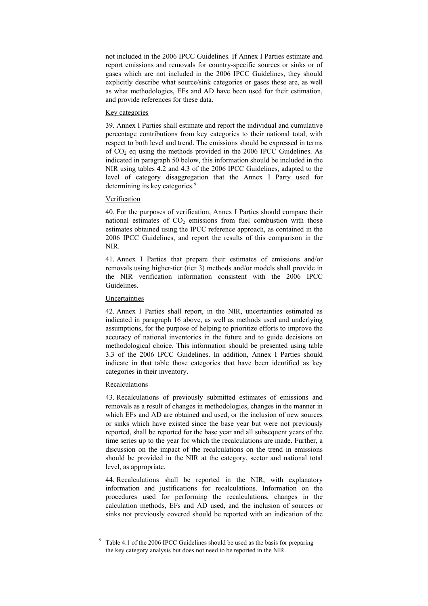not included in the 2006 IPCC Guidelines. If Annex I Parties estimate and report emissions and removals for country-specific sources or sinks or of gases which are not included in the 2006 IPCC Guidelines, they should explicitly describe what source/sink categories or gases these are, as well as what methodologies, EFs and AD have been used for their estimation, and provide references for these data.

#### Key categories

39. Annex I Parties shall estimate and report the individual and cumulative percentage contributions from key categories to their national total, with respect to both level and trend. The emissions should be expressed in terms of  $CO<sub>2</sub>$  eq using the methods provided in the 2006 IPCC Guidelines. As indicated in paragraph 50 below, this information should be included in the NIR using tables 4.2 and 4.3 of the 2006 IPCC Guidelines, adapted to the level of category disaggregation that the Annex I Party used for determining its key categories.<sup>[9](#page-12-0)</sup>

#### Verification

40. For the purposes of verification, Annex I Parties should compare their national estimates of  $CO<sub>2</sub>$  emissions from fuel combustion with those estimates obtained using the IPCC reference approach, as contained in the 2006 IPCC Guidelines, and report the results of this comparison in the NIR.

41. Annex I Parties that prepare their estimates of emissions and/or removals using higher-tier (tier 3) methods and/or models shall provide in the NIR verification information consistent with the 2006 IPCC Guidelines.

#### Uncertainties

42. Annex I Parties shall report, in the NIR, uncertainties estimated as indicated in paragraph 16 above, as well as methods used and underlying assumptions, for the purpose of helping to prioritize efforts to improve the accuracy of national inventories in the future and to guide decisions on methodological choice. This information should be presented using table 3.3 of the 2006 IPCC Guidelines. In addition, Annex I Parties should indicate in that table those categories that have been identified as key categories in their inventory.

#### Recalculations

<span id="page-12-0"></span>9

43. Recalculations of previously submitted estimates of emissions and removals as a result of changes in methodologies, changes in the manner in which EFs and AD are obtained and used, or the inclusion of new sources or sinks which have existed since the base year but were not previously reported, shall be reported for the base year and all subsequent years of the time series up to the year for which the recalculations are made. Further, a discussion on the impact of the recalculations on the trend in emissions should be provided in the NIR at the category, sector and national total level, as appropriate.

44. Recalculations shall be reported in the NIR, with explanatory information and justifications for recalculations. Information on the procedures used for performing the recalculations, changes in the calculation methods, EFs and AD used, and the inclusion of sources or sinks not previously covered should be reported with an indication of the

 $9$  Table 4.1 of the 2006 IPCC Guidelines should be used as the basis for preparing the key category analysis but does not need to be reported in the NIR.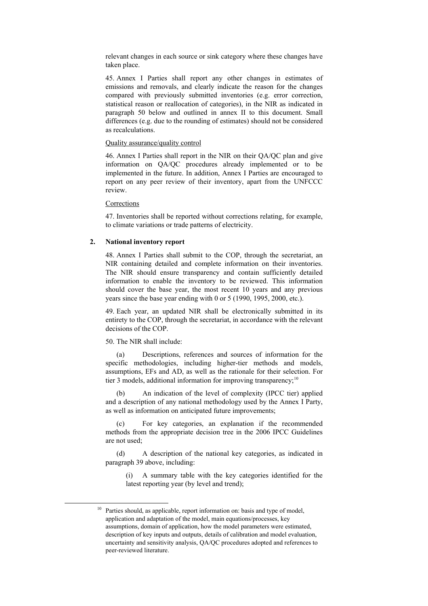relevant changes in each source or sink category where these changes have taken place.

45. Annex I Parties shall report any other changes in estimates of emissions and removals, and clearly indicate the reason for the changes compared with previously submitted inventories (e.g. error correction, statistical reason or reallocation of categories), in the NIR as indicated in paragraph 50 below and outlined in annex II to this document. Small differences (e.g. due to the rounding of estimates) should not be considered as recalculations.

#### Quality assurance/quality control

46. Annex I Parties shall report in the NIR on their QA/QC plan and give information on QA/QC procedures already implemented or to be implemented in the future. In addition, Annex I Parties are encouraged to report on any peer review of their inventory, apart from the UNFCCC review.

Corrections

47. Inventories shall be reported without corrections relating, for example, to climate variations or trade patterns of electricity.

#### **2. National inventory report**

48. Annex I Parties shall submit to the COP, through the secretariat, an NIR containing detailed and complete information on their inventories. The NIR should ensure transparency and contain sufficiently detailed information to enable the inventory to be reviewed. This information should cover the base year, the most recent 10 years and any previous years since the base year ending with 0 or 5 (1990, 1995, 2000, etc.).

49. Each year, an updated NIR shall be electronically submitted in its entirety to the COP, through the secretariat, in accordance with the relevant decisions of the COP.

#### 50. The NIR shall include:

 (a) Descriptions, references and sources of information for the specific methodologies, including higher-tier methods and models, assumptions, EFs and AD, as well as the rationale for their selection. For tier 3 models, additional information for improving transparency;<sup>[10](#page-13-0)</sup>

 (b) An indication of the level of complexity (IPCC tier) applied and a description of any national methodology used by the Annex I Party, as well as information on anticipated future improvements;

 (c) For key categories, an explanation if the recommended methods from the appropriate decision tree in the 2006 IPCC Guidelines are not used;

 (d) A description of the national key categories, as indicated in paragraph 39 above, including:

(i) A summary table with the key categories identified for the latest reporting year (by level and trend);

<span id="page-13-0"></span>Parties should, as applicable, report information on: basis and type of model, application and adaptation of the model, main equations/processes, key assumptions, domain of application, how the model parameters were estimated, description of key inputs and outputs, details of calibration and model evaluation, uncertainty and sensitivity analysis, QA/QC procedures adopted and references to peer-reviewed literature.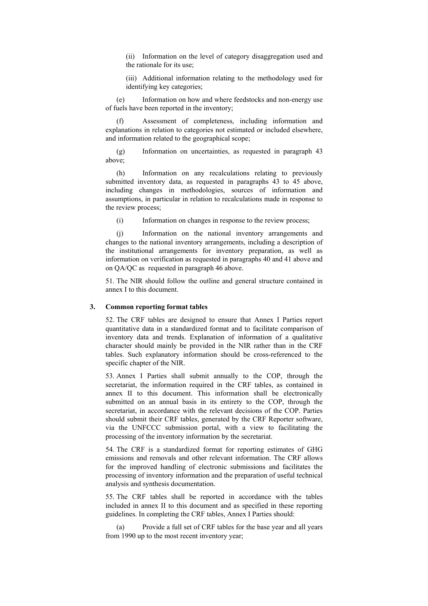(ii) Information on the level of category disaggregation used and the rationale for its use;

(iii) Additional information relating to the methodology used for identifying key categories;

 (e) Information on how and where feedstocks and non-energy use of fuels have been reported in the inventory;

 (f) Assessment of completeness, including information and explanations in relation to categories not estimated or included elsewhere, and information related to the geographical scope;

 (g) Information on uncertainties, as requested in paragraph 43 above;

 (h) Information on any recalculations relating to previously submitted inventory data, as requested in paragraphs 43 to 45 above, including changes in methodologies, sources of information and assumptions, in particular in relation to recalculations made in response to the review process;

(i) Information on changes in response to the review process;

 (j) Information on the national inventory arrangements and changes to the national inventory arrangements, including a description of the institutional arrangements for inventory preparation, as well as information on verification as requested in paragraphs 40 and 41 above and on QA/QC as requested in paragraph 46 above.

51. The NIR should follow the outline and general structure contained in annex I to this document.

#### **3. Common reporting format tables**

52. The CRF tables are designed to ensure that Annex I Parties report quantitative data in a standardized format and to facilitate comparison of inventory data and trends. Explanation of information of a qualitative character should mainly be provided in the NIR rather than in the CRF tables. Such explanatory information should be cross-referenced to the specific chapter of the NIR.

53. Annex I Parties shall submit annually to the COP, through the secretariat, the information required in the CRF tables, as contained in annex II to this document. This information shall be electronically submitted on an annual basis in its entirety to the COP, through the secretariat, in accordance with the relevant decisions of the COP. Parties should submit their CRF tables, generated by the CRF Reporter software, via the UNFCCC submission portal, with a view to facilitating the processing of the inventory information by the secretariat.

54. The CRF is a standardized format for reporting estimates of GHG emissions and removals and other relevant information. The CRF allows for the improved handling of electronic submissions and facilitates the processing of inventory information and the preparation of useful technical analysis and synthesis documentation.

55. The CRF tables shall be reported in accordance with the tables included in annex II to this document and as specified in these reporting guidelines. In completing the CRF tables, Annex I Parties should:

Provide a full set of CRF tables for the base year and all years from 1990 up to the most recent inventory year;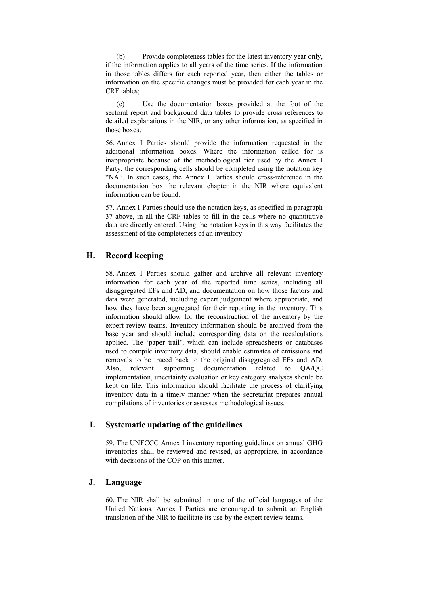(b) Provide completeness tables for the latest inventory year only, if the information applies to all years of the time series. If the information in those tables differs for each reported year, then either the tables or information on the specific changes must be provided for each year in the CRF tables;

 (c) Use the documentation boxes provided at the foot of the sectoral report and background data tables to provide cross references to detailed explanations in the NIR, or any other information, as specified in those boxes.

56. Annex I Parties should provide the information requested in the additional information boxes. Where the information called for is inappropriate because of the methodological tier used by the Annex I Party, the corresponding cells should be completed using the notation key "NA". In such cases, the Annex I Parties should cross-reference in the documentation box the relevant chapter in the NIR where equivalent information can be found.

57. Annex I Parties should use the notation keys, as specified in paragraph 37 above, in all the CRF tables to fill in the cells where no quantitative data are directly entered. Using the notation keys in this way facilitates the assessment of the completeness of an inventory.

## **H. Record keeping**

58. Annex I Parties should gather and archive all relevant inventory information for each year of the reported time series, including all disaggregated EFs and AD, and documentation on how those factors and data were generated, including expert judgement where appropriate, and how they have been aggregated for their reporting in the inventory. This information should allow for the reconstruction of the inventory by the expert review teams. Inventory information should be archived from the base year and should include corresponding data on the recalculations applied. The 'paper trail', which can include spreadsheets or databases used to compile inventory data, should enable estimates of emissions and removals to be traced back to the original disaggregated EFs and AD. Also, relevant supporting documentation related to QA/QC implementation, uncertainty evaluation or key category analyses should be kept on file. This information should facilitate the process of clarifying inventory data in a timely manner when the secretariat prepares annual compilations of inventories or assesses methodological issues.

### **I. Systematic updating of the guidelines**

59. The UNFCCC Annex I inventory reporting guidelines on annual GHG inventories shall be reviewed and revised, as appropriate, in accordance with decisions of the COP on this matter.

### **J. Language**

60. The NIR shall be submitted in one of the official languages of the United Nations. Annex I Parties are encouraged to submit an English translation of the NIR to facilitate its use by the expert review teams.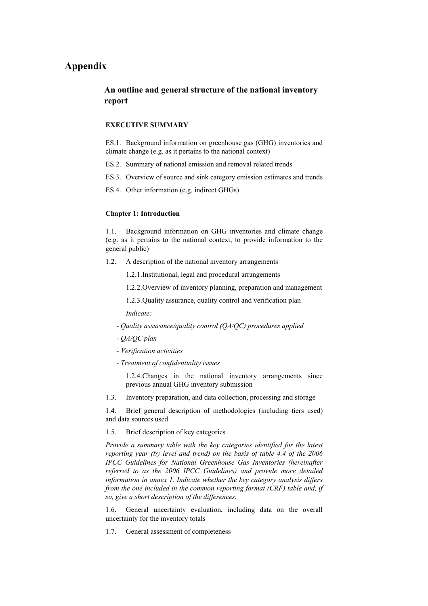## **Appendix**

## **An outline and general structure of the national inventory report**

#### **EXECUTIVE SUMMARY**

ES.1. Background information on greenhouse gas (GHG) inventories and climate change (e.g. as it pertains to the national context)

- ES.2. Summary of national emission and removal related trends
- ES.3. Overview of source and sink category emission estimates and trends
- ES.4. Other information (e.g. indirect GHGs)

#### **Chapter 1: Introduction**

1.1. Background information on GHG inventories and climate change (e.g. as it pertains to the national context, to provide information to the general public)

- 1.2. A description of the national inventory arrangements
	- 1.2.1. Institutional, legal and procedural arrangements
	- 1.2.2. Overview of inventory planning, preparation and management
	- 1.2.3. Quality assurance, quality control and verification plan

*Indicate:*

- *Quality assurance/quality control (QA/QC) procedures applied*
- *QA/QC plan*
- *Verification activities*
- *Treatment of confidentiality issues*

1.2.4. Changes in the national inventory arrangements since previous annual GHG inventory submission

1.3. Inventory preparation, and data collection, processing and storage

1.4. Brief general description of methodologies (including tiers used) and data sources used

#### 1.5. Brief description of key categories

*Provide a summary table with the key categories identified for the latest reporting year (by level and trend) on the basis of table 4.4 of the 2006 IPCC Guidelines for National Greenhouse Gas Inventories (hereinafter referred to as the 2006 IPCC Guidelines) and provide more detailed information in annex 1. Indicate whether the key category analysis differs from the one included in the common reporting format (CRF) table and, if so, give a short description of the differences.*

1.6. General uncertainty evaluation, including data on the overall uncertainty for the inventory totals

1.7. General assessment of completeness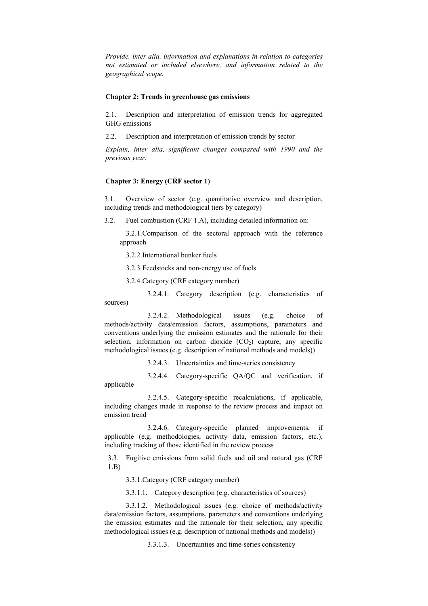*Provide, inter alia, information and explanations in relation to categories not estimated or included elsewhere, and information related to the geographical scope.* 

#### **Chapter 2: Trends in greenhouse gas emissions**

2.1. Description and interpretation of emission trends for aggregated GHG emissions

2.2. Description and interpretation of emission trends by sector

*Explain, inter alia, significant changes compared with 1990 and the previous year.*

#### **Chapter 3: Energy (CRF sector 1)**

3.1. Overview of sector (e.g. quantitative overview and description, including trends and methodological tiers by category)

3.2. Fuel combustion (CRF 1.A), including detailed information on:

3.2.1. Comparison of the sectoral approach with the reference approach

3.2.2. International bunker fuels

3.2.3. Feedstocks and non-energy use of fuels

3.2.4. Category (CRF category number)

 3.2.4.1. Category description (e.g. characteristics of sources)

 3.2.4.2. Methodological issues (e.g. choice of methods/activity data/emission factors, assumptions, parameters and conventions underlying the emission estimates and the rationale for their selection, information on carbon dioxide  $(CO<sub>2</sub>)$  capture, any specific methodological issues (e.g. description of national methods and models))

3.2.4.3. Uncertainties and time-series consistency

 3.2.4.4. Category-specific QA/QC and verification, if applicable

 3.2.4.5. Category-specific recalculations, if applicable, including changes made in response to the review process and impact on emission trend

 3.2.4.6. Category-specific planned improvements, if applicable (e.g. methodologies, activity data, emission factors, etc.), including tracking of those identified in the review process

3.3. Fugitive emissions from solid fuels and oil and natural gas (CRF 1.B)

3.3.1. Category (CRF category number)

3.3.1.1. Category description (e.g. characteristics of sources)

 3.3.1.2. Methodological issues (e.g. choice of methods/activity data/emission factors, assumptions, parameters and conventions underlying the emission estimates and the rationale for their selection, any specific methodological issues (e.g. description of national methods and models))

3.3.1.3. Uncertainties and time-series consistency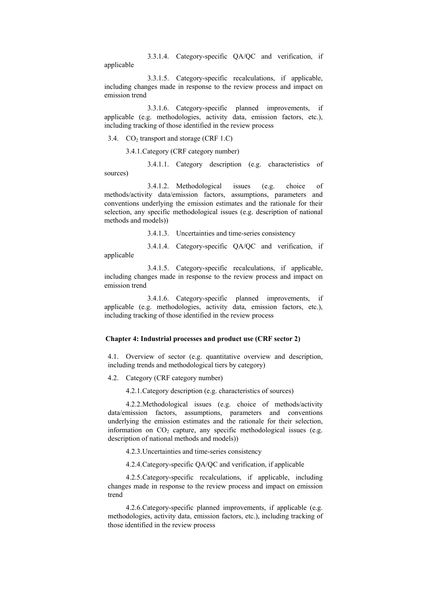3.3.1.4. Category-specific QA/QC and verification, if applicable

3.3.1.5. Category-specific recalculations, if applicable,

including changes made in response to the review process and impact on emission trend

 3.3.1.6. Category-specific planned improvements, if applicable (e.g. methodologies, activity data, emission factors, etc.), including tracking of those identified in the review process

3.4.  $CO<sub>2</sub>$  transport and storage (CRF 1.C)

3.4.1. Category (CRF category number)

 3.4.1.1. Category description (e.g. characteristics of sources)

 3.4.1.2. Methodological issues (e.g. choice of methods/activity data/emission factors, assumptions, parameters and conventions underlying the emission estimates and the rationale for their selection, any specific methodological issues (e.g. description of national methods and models))

3.4.1.3. Uncertainties and time-series consistency

 3.4.1.4. Category-specific QA/QC and verification, if applicable

 3.4.1.5. Category-specific recalculations, if applicable, including changes made in response to the review process and impact on emission trend

 3.4.1.6. Category-specific planned improvements, if applicable (e.g. methodologies, activity data, emission factors, etc.), including tracking of those identified in the review process

#### **Chapter 4: Industrial processes and product use (CRF sector 2)**

4.1. Overview of sector (e.g. quantitative overview and description, including trends and methodological tiers by category)

4.2. Category (CRF category number)

4.2.1. Category description (e.g. characteristics of sources)

 4.2.2. Methodological issues (e.g. choice of methods/activity data/emission factors, assumptions, parameters and conventions underlying the emission estimates and the rationale for their selection, information on  $CO<sub>2</sub>$  capture, any specific methodological issues (e.g. description of national methods and models))

4.2.3. Uncertainties and time-series consistency

4.2.4. Category-specific QA/QC and verification, if applicable

 4.2.5. Category-specific recalculations, if applicable, including changes made in response to the review process and impact on emission trend

 4.2.6. Category-specific planned improvements, if applicable (e.g. methodologies, activity data, emission factors, etc.), including tracking of those identified in the review process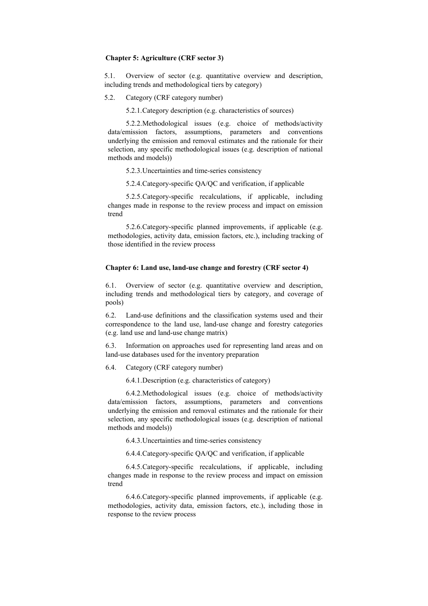#### **Chapter 5: Agriculture (CRF sector 3)**

5.1. Overview of sector (e.g. quantitative overview and description, including trends and methodological tiers by category)

5.2. Category (CRF category number)

5.2.1. Category description (e.g. characteristics of sources)

 5.2.2. Methodological issues (e.g. choice of methods/activity data/emission factors, assumptions, parameters and conventions underlying the emission and removal estimates and the rationale for their selection, any specific methodological issues (e.g. description of national methods and models))

5.2.3. Uncertainties and time-series consistency

5.2.4. Category-specific QA/QC and verification, if applicable

 5.2.5. Category-specific recalculations, if applicable, including changes made in response to the review process and impact on emission trend

 5.2.6. Category-specific planned improvements, if applicable (e.g. methodologies, activity data, emission factors, etc.), including tracking of those identified in the review process

#### **Chapter 6: Land use, land-use change and forestry (CRF sector 4)**

6.1. Overview of sector (e.g. quantitative overview and description, including trends and methodological tiers by category, and coverage of pools)

6.2. Land-use definitions and the classification systems used and their correspondence to the land use, land-use change and forestry categories (e.g. land use and land-use change matrix)

6.3. Information on approaches used for representing land areas and on land-use databases used for the inventory preparation

6.4. Category (CRF category number)

6.4.1. Description (e.g. characteristics of category)

 6.4.2. Methodological issues (e.g. choice of methods/activity data/emission factors, assumptions, parameters and conventions underlying the emission and removal estimates and the rationale for their selection, any specific methodological issues (e.g. description of national methods and models))

6.4.3. Uncertainties and time-series consistency

6.4.4. Category-specific QA/QC and verification, if applicable

 6.4.5. Category-specific recalculations, if applicable, including changes made in response to the review process and impact on emission trend

 6.4.6. Category-specific planned improvements, if applicable (e.g. methodologies, activity data, emission factors, etc.), including those in response to the review process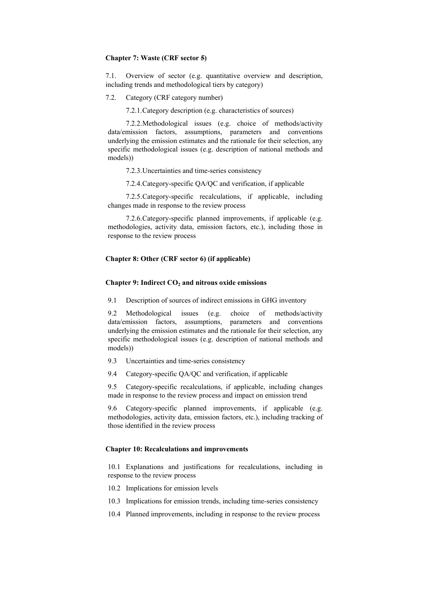#### **Chapter 7: Waste (CRF sector 5)**

7.1. Overview of sector (e.g. quantitative overview and description, including trends and methodological tiers by category)

7.2. Category (CRF category number)

7.2.1. Category description (e.g. characteristics of sources)

 7.2.2. Methodological issues (e.g. choice of methods/activity data/emission factors, assumptions, parameters and conventions underlying the emission estimates and the rationale for their selection, any specific methodological issues (e.g. description of national methods and models))

7.2.3. Uncertainties and time-series consistency

7.2.4. Category-specific QA/QC and verification, if applicable

 7.2.5. Category-specific recalculations, if applicable, including changes made in response to the review process

 7.2.6. Category-specific planned improvements, if applicable (e.g. methodologies, activity data, emission factors, etc.), including those in response to the review process

#### **Chapter 8: Other (CRF sector 6) (if applicable)**

#### **Chapter 9: Indirect CO<sub>2</sub> and nitrous oxide emissions**

9.1 Description of sources of indirect emissions in GHG inventory

9.2 Methodological issues (e.g. choice of methods/activity data/emission factors, assumptions, parameters and conventions underlying the emission estimates and the rationale for their selection, any specific methodological issues (e.g. description of national methods and models))

- 9.3 Uncertainties and time-series consistency
- 9.4 Category-specific QA/QC and verification, if applicable

9.5 Category-specific recalculations, if applicable, including changes made in response to the review process and impact on emission trend

9.6 Category-specific planned improvements, if applicable (e.g. methodologies, activity data, emission factors, etc.), including tracking of those identified in the review process

#### **Chapter 10: Recalculations and improvements**

10.1 Explanations and justifications for recalculations, including in response to the review process

- 10.2 Implications for emission levels
- 10.3 Implications for emission trends, including time-series consistency
- 10.4 Planned improvements, including in response to the review process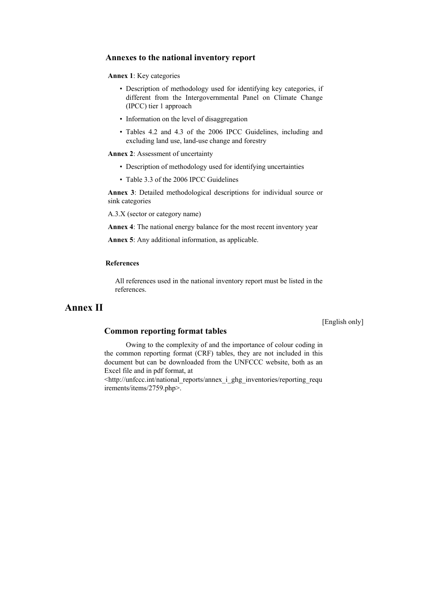#### **Annexes to the national inventory report**

#### **Annex 1**: Key categories

- Description of methodology used for identifying key categories, if different from the Intergovernmental Panel on Climate Change (IPCC) tier 1 approach
- Information on the level of disaggregation
- Tables 4.2 and 4.3 of the 2006 IPCC Guidelines, including and excluding land use, land-use change and forestry

**Annex 2**: Assessment of uncertainty

- Description of methodology used for identifying uncertainties
- Table 3.3 of the 2006 IPCC Guidelines

**Annex 3**: Detailed methodological descriptions for individual source or sink categories

A.3.X (sector or category name)

**Annex 4**: The national energy balance for the most recent inventory year

**Annex 5**: Any additional information, as applicable.

#### **References**

All references used in the national inventory report must be listed in the references.

## **Annex II**

[English only]

### **Common reporting format tables**

 Owing to the complexity of and the importance of colour coding in the common reporting format (CRF) tables, they are not included in this document but can be downloaded from the UNFCCC website, both as an Excel file and in pdf format, at

<http://unfccc.int/national\_reports/annex\_i\_ghg\_inventories/reporting\_requ irements/items/2759.php>.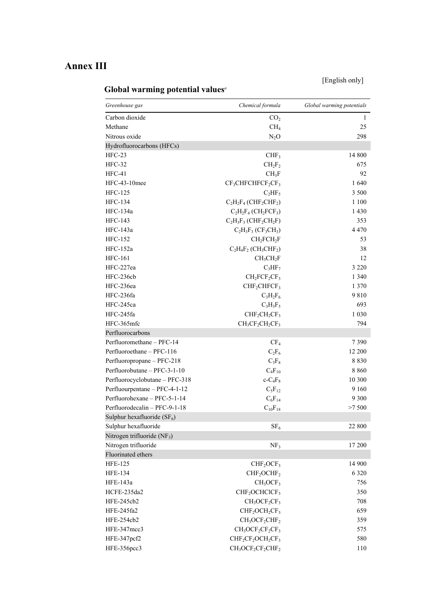# **Annex III**

[English only]

# **Global warming potential values***<sup>a</sup>*

| Greenhouse gas                 | Chemical formula                                                  | Global warming potentials |
|--------------------------------|-------------------------------------------------------------------|---------------------------|
| Carbon dioxide                 | CO <sub>2</sub>                                                   | 1                         |
| Methane                        | CH <sub>4</sub>                                                   | 25                        |
| Nitrous oxide                  | $N_2O$                                                            | 298                       |
| Hydrofluorocarbons (HFCs)      |                                                                   |                           |
| $HFC-23$                       | CHF <sub>3</sub>                                                  | 14 800                    |
| <b>HFC-32</b>                  | $CH_2F_2$                                                         | 675                       |
| HFC-41                         | $CH_3F$                                                           | 92                        |
| HFC-43-10mee                   | $CF_3CHFCHFCF_2CF_3$                                              | 1640                      |
| <b>HFC-125</b>                 | $C_2HF_5$                                                         | 3 500                     |
| <b>HFC-134</b>                 | $C_2H_2F_4$ (CHF <sub>2</sub> CHF <sub>2</sub> )                  | 1 100                     |
| HFC-134a                       | $C_2H_2F_4$ (CH <sub>2</sub> FCF <sub>3</sub> )                   | 1 4 3 0                   |
| <b>HFC-143</b>                 | $C_2H_3F_3$ (CHF <sub>2</sub> CH <sub>2</sub> F)                  | 353                       |
| HFC-143a                       | $C_2H_3F_3(CF_3CH_3)$                                             | 4 4 7 0                   |
| <b>HFC-152</b>                 | CH <sub>2</sub> FCH <sub>2</sub> F                                | 53                        |
| <b>HFC-152a</b>                | $C_2H_4F_2$ (CH <sub>3</sub> CHF <sub>2</sub> )                   | 38                        |
| <b>HFC-161</b>                 | CH <sub>3</sub> CH <sub>2</sub> F                                 | 12                        |
| HFC-227ea                      | $C_3HF_7$                                                         | 3 2 2 0                   |
| HFC-236cb                      | $CH2FCF2CF3$                                                      | 1 3 4 0                   |
| HFC-236ea                      | CHF <sub>2</sub> CHFCF <sub>3</sub>                               | 1 3 7 0                   |
| HFC-236fa                      | $C_3H_2F_6$                                                       | 9810                      |
| HFC-245ca                      | $C_3H_3F_5$                                                       | 693                       |
| HFC-245fa                      | $CHF2CH2CF3$                                                      | 1 0 3 0                   |
| HFC-365mfc                     | $CH3CF2CH2CF3$                                                    | 794                       |
| Perfluorocarbons               |                                                                   |                           |
| Perfluoromethane - PFC-14      | CF <sub>4</sub>                                                   | 7390                      |
| Perfluoroethane - PFC-116      | $C_2F_6$                                                          | 12 200                    |
| Perfluoropropane - PFC-218     | $C_3F_8$                                                          | 8830                      |
| Perfluorobutane - PFC-3-1-10   | $C_4F_{10}$                                                       | 8860                      |
| Perfluorocyclobutane - PFC-318 | $c$ - $C_4F_8$                                                    | 10 300                    |
| Perfluourpentane - PFC-4-1-12  | $C_5F_{12}$                                                       | 9 1 6 0                   |
| Perfluorohexane - PFC-5-1-14   | $C_6F_{14}$                                                       | 9 3 0 0                   |
| Perfluorodecalin - PFC-9-1-18  | $C_{10}F_{18}$                                                    | >7500                     |
| Sulphur hexafluoride $(SF_6)$  |                                                                   |                           |
| Sulphur hexafluoride           | SF <sub>6</sub>                                                   | 22 800                    |
| Nitrogen trifluoride $(NF_3)$  |                                                                   |                           |
| Nitrogen trifluoride           | NF <sub>3</sub>                                                   | 17 200                    |
| Fluorinated ethers             |                                                                   |                           |
| <b>HFE-125</b>                 | CHF <sub>2</sub> OCF <sub>3</sub>                                 | 14 900                    |
| <b>HFE-134</b>                 | CHF <sub>2</sub> OCHF <sub>2</sub>                                | 6 3 2 0                   |
| HFE-143a                       | CH <sub>3</sub> OCF <sub>3</sub>                                  | 756                       |
| HCFE-235da2                    | CHF <sub>2</sub> OCHCICF <sub>3</sub>                             | 350                       |
| HFE-245cb2                     | $CH3OCF2CF3$                                                      | 708                       |
| HFE-245fa2                     | CHF <sub>2</sub> OCH <sub>2</sub> CF <sub>3</sub>                 | 659                       |
| HFE-254cb2                     | $CH3OCF2CHF2$                                                     | 359                       |
| HFE-347mcc3                    | $CH3OCF2CF2CF3$                                                   | 575                       |
| HFE-347pcf2                    | CHF <sub>2</sub> CF <sub>2</sub> OCH <sub>2</sub> CF <sub>3</sub> | 580                       |
| HFE-356pcc3                    | CH <sub>3</sub> OCF <sub>2</sub> CF <sub>2</sub> CHF <sub>2</sub> | 110                       |